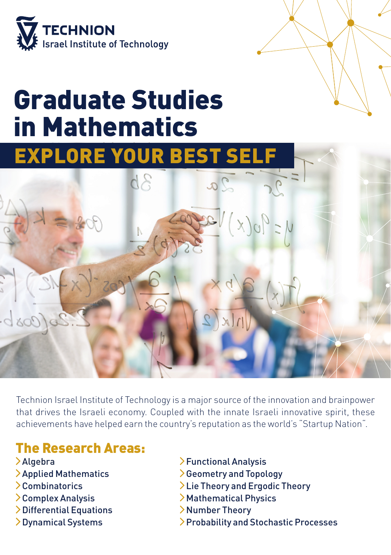

## Graduate Studies in Mathematics



Technion Israel Institute of Technology is a major source of the innovation and brainpower that drives the Israeli economy. Coupled with the innate Israeli innovative spirit, these achievements have helped earn the country's reputation as the world's "Startup Nation".

## The Research Areas:

- Algebra
- Applied Mathematics
- Combinatorics
- Complex Analysis
- > Differential Equations
- Dynamical Systems
- Functional Analysis
- Geometry and Topology
- Lie Theory and Ergodic Theory
- > Mathematical Physics
- Number Theory
- Probability and Stochastic Processes